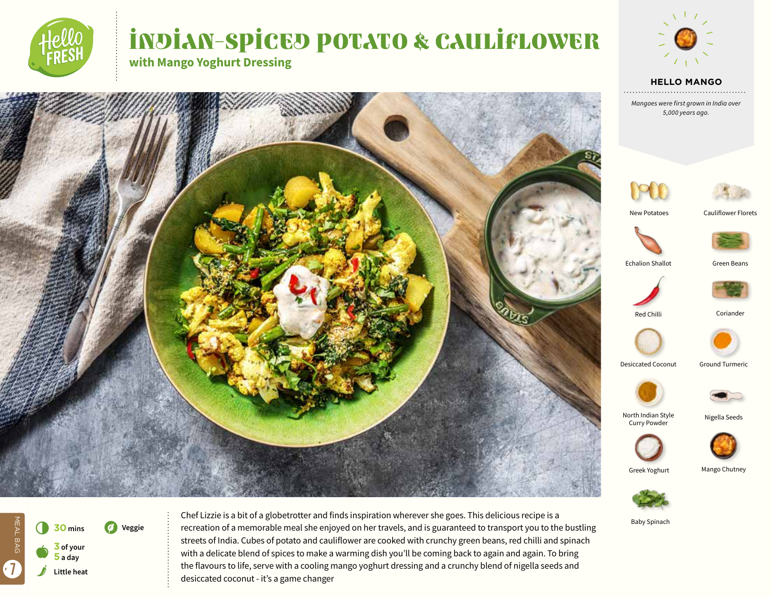

# INDIAN-SPICED POTATO & CAULIFLOWER

**with Mango Yoghurt Dressing**









New Potatoes

Cauliflower Florets



Echalion Shallot Green Beans





Coriander



Desiccated Coconut

Ground Turmeric



North Indian Style Curry Powder



Greek Yoghurt

Mango Chutney



Baby Spinach



Chef Lizzie is a bit of a globetrotter and finds inspiration wherever she goes. This delicious recipe is a recreation of a memorable meal she enjoyed on her travels, and is guaranteed to transport you to the bustling streets of India. Cubes of potato and cauliflower are cooked with crunchy green beans, red chilli and spinach with a delicate blend of spices to make a warming dish you'll be coming back to again and again. To bring the flavours to life, serve with a cooling mango yoghurt dressing and a crunchy blend of nigella seeds and desiccated coconut - it's a game changer





Nigella Seeds